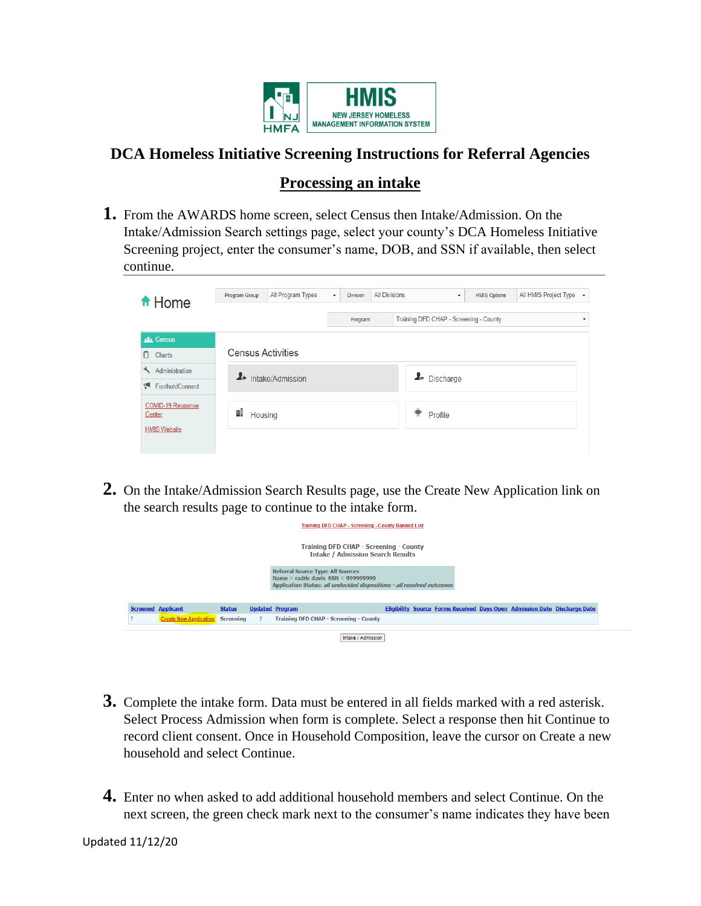

# **DCA Homeless Initiative Screening Instructions for Referral Agencies**

## **Processing an intake**

**1.** From the AWARDS home screen, select Census then Intake/Admission. On the Intake/Admission Search settings page, select your county's DCA Homeless Initiative Screening project, enter the consumer's name, DOB, and SSN if available, then select continue.

| ft Home                                            | All Program Types<br>Program Group |                                |  | <b>Division</b> | <b>All Divisions</b> | $\cdot$                                | All HMIS Project Type +<br><b>HMIS Options</b> |  |   |
|----------------------------------------------------|------------------------------------|--------------------------------|--|-----------------|----------------------|----------------------------------------|------------------------------------------------|--|---|
|                                                    |                                    |                                |  | Program:        |                      | Training DFD CHAP - Screening - County |                                                |  | ۰ |
| <b>AL</b> Census                                   |                                    |                                |  |                 |                      |                                        |                                                |  |   |
| n.<br>Charts                                       | <b>Census Activities</b>           |                                |  |                 |                      |                                        |                                                |  |   |
| Administration                                     |                                    | <sup>4+</sup> Intake/Admission |  |                 |                      | L- Discharge                           |                                                |  |   |
| FootholdConnect                                    |                                    |                                |  |                 |                      |                                        |                                                |  |   |
| COVID-19 Response<br>Center<br><b>HMIS Website</b> | 뺘<br>Housing                       |                                |  |                 |                      | ⋕<br>Profile                           |                                                |  |   |
|                                                    |                                    |                                |  |                 |                      |                                        |                                                |  |   |

**2.** On the Intake/Admission Search Results page, use the Create New Application link on the search results page to continue to the intake form.

|                                                                                    |                               |                  |  | <b>Training DFD CHAP - Screening - County Banned List</b>                                                                                                    |  |  |  |  |                                                                           |  |
|------------------------------------------------------------------------------------|-------------------------------|------------------|--|--------------------------------------------------------------------------------------------------------------------------------------------------------------|--|--|--|--|---------------------------------------------------------------------------|--|
| Training DFD CHAP - Screening - County<br><b>Intake / Admission Search Results</b> |                               |                  |  |                                                                                                                                                              |  |  |  |  |                                                                           |  |
|                                                                                    |                               |                  |  | <b>Referral Source Type: All Sources</b><br>Name = radric davis $SSN = 9999999999$<br>Application Status: all undecided dispositions - all resolved outcomes |  |  |  |  |                                                                           |  |
|                                                                                    | <b>Screened Applicant</b>     | <b>Status</b>    |  | <b>Updated Program</b>                                                                                                                                       |  |  |  |  | Eligibility Source Forms Received Days Open Admission Date Discharge Date |  |
|                                                                                    | <b>Create New Application</b> | <b>Screening</b> |  | <b>Training DFD CHAP - Screening - County</b>                                                                                                                |  |  |  |  |                                                                           |  |
|                                                                                    |                               |                  |  | Intake / Admission                                                                                                                                           |  |  |  |  |                                                                           |  |

- **3.** Complete the intake form. Data must be entered in all fields marked with a red asterisk. Select Process Admission when form is complete. Select a response then hit Continue to record client consent. Once in Household Composition, leave the cursor on Create a new household and select Continue.
- **4.** Enter no when asked to add additional household members and select Continue. On the next screen, the green check mark next to the consumer's name indicates they have been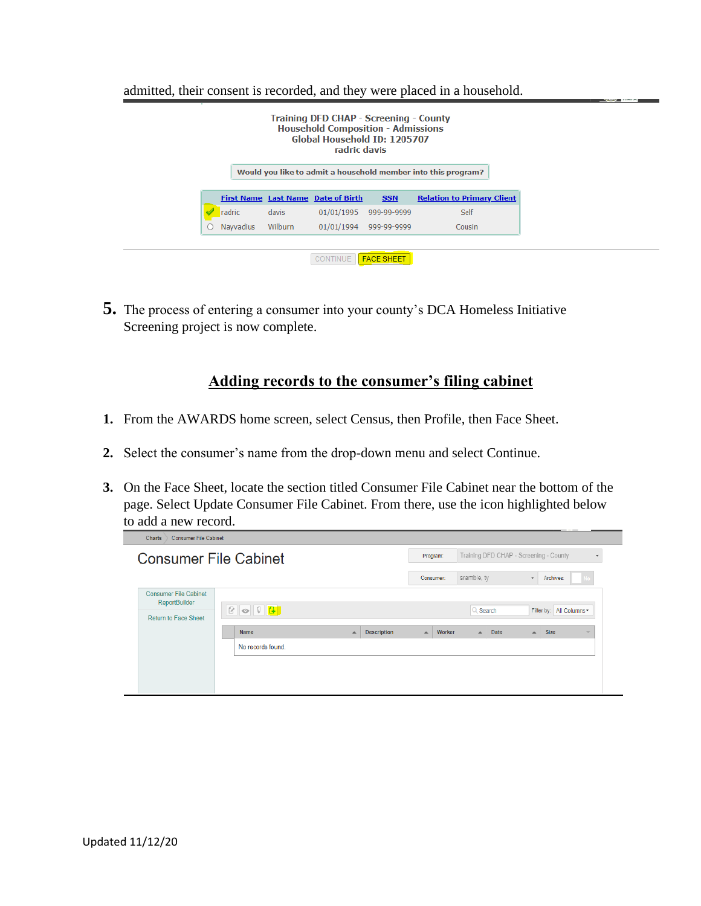admitted, their consent is recorded, and they were placed in a household.

| <b>Relation to Primary Client</b><br><b>First Name Last Name Date of Birth</b><br><b>SSN</b><br>radric<br>01/01/1995<br>Self<br>999-99-9999<br>davis<br><b>Navvadius</b><br>Wilburn<br>01/01/1994<br>999-99-9999<br>Cousin |
|----------------------------------------------------------------------------------------------------------------------------------------------------------------------------------------------------------------------------|
|                                                                                                                                                                                                                            |
|                                                                                                                                                                                                                            |
|                                                                                                                                                                                                                            |

**5.** The process of entering a consumer into your county's DCA Homeless Initiative Screening project is now complete.

## **Adding records to the consumer's filing cabinet**

- **1.** From the AWARDS home screen, select Census, then Profile, then Face Sheet.
- **2.** Select the consumer's name from the drop-down menu and select Continue.
- **3.** On the Face Sheet, locate the section titled Consumer File Cabinet near the bottom of the page. Select Update Consumer File Cabinet. From there, use the icon highlighted below to add a new record.

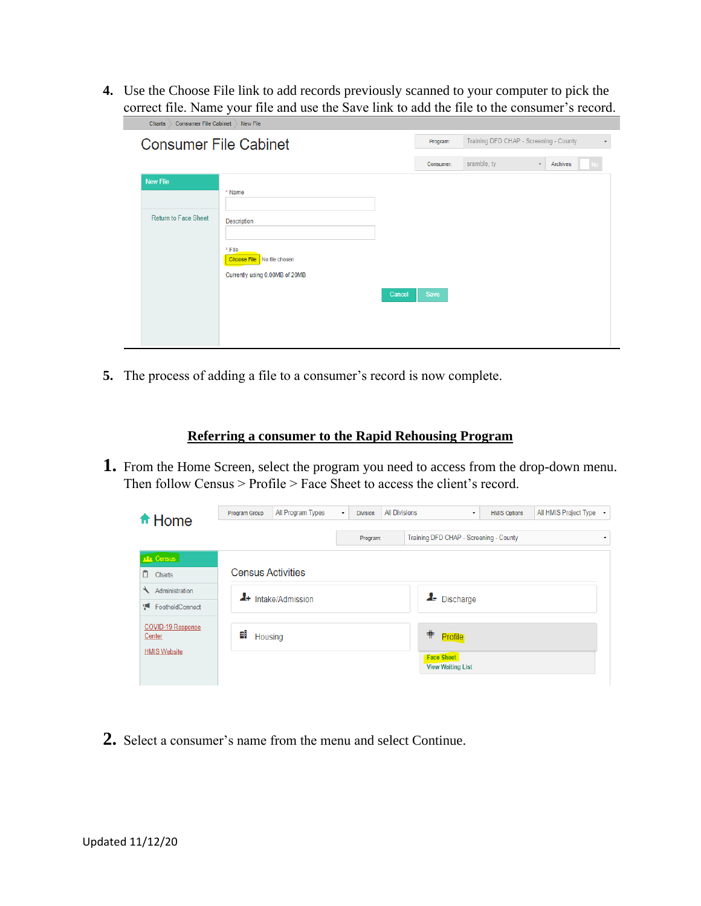**4.** Use the Choose File link to add records previously scanned to your computer to pick the correct file. Name your file and use the Save link to add the file to the consumer's record.

| <b>Consumer File Cabinet</b><br><b>Charts</b>  | New File                                                                                               |        |           |                                        |                          |
|------------------------------------------------|--------------------------------------------------------------------------------------------------------|--------|-----------|----------------------------------------|--------------------------|
| <b>Consumer File Cabinet</b>                   |                                                                                                        |        | Program:  | Training DFD CHAP - Screening - County | $\overline{\phantom{a}}$ |
|                                                |                                                                                                        |        | Consumer: | sramble, ty<br>$\scriptstyle\star$     | Archives:                |
| <b>New File</b><br><b>Return to Face Sheet</b> | * Name<br><b>Description</b><br>* File<br>Choose File No file chosen<br>Currently using 0.00MB of 20MB | Cancel | Save      |                                        |                          |

**5.** The process of adding a file to a consumer's record is now complete.

### **Referring a consumer to the Rapid Rehousing Program**

**1.** From the Home Screen, select the program you need to access from the drop-down menu. Then follow Census > Profile > Face Sheet to access the client's record.

| fi Home                     | Program Group            | All Program Types              | ۰ | <b>Division</b> | <b>All Divisions</b> | ۰                                             | <b>HMIS Options</b> | All HMIS Project Type + |  |
|-----------------------------|--------------------------|--------------------------------|---|-----------------|----------------------|-----------------------------------------------|---------------------|-------------------------|--|
|                             |                          |                                |   |                 |                      |                                               |                     |                         |  |
|                             |                          |                                |   | Program:        |                      | Training DFD CHAP - Screening - County        |                     |                         |  |
| <b>DR</b> Census            |                          |                                |   |                 |                      |                                               |                     |                         |  |
| n<br>Charts                 | <b>Census Activities</b> |                                |   |                 |                      |                                               |                     |                         |  |
| ₹<br>Administration         |                          | <sup>4+</sup> Intake/Admission |   |                 |                      | L- Discharge                                  |                     |                         |  |
| Ţ.<br>FootholdConnect       |                          |                                |   |                 |                      |                                               |                     |                         |  |
| COVID-19 Response<br>Center | 뺴<br>Housing             |                                |   |                 |                      | $\ddot{\ast}$<br>Profile                      |                     |                         |  |
| <b>HMIS Website</b>         |                          |                                |   |                 |                      | <b>Face Sheet</b><br><b>View Waiting List</b> |                     |                         |  |
|                             |                          |                                |   |                 |                      |                                               |                     |                         |  |

**2.** Select a consumer's name from the menu and select Continue.

×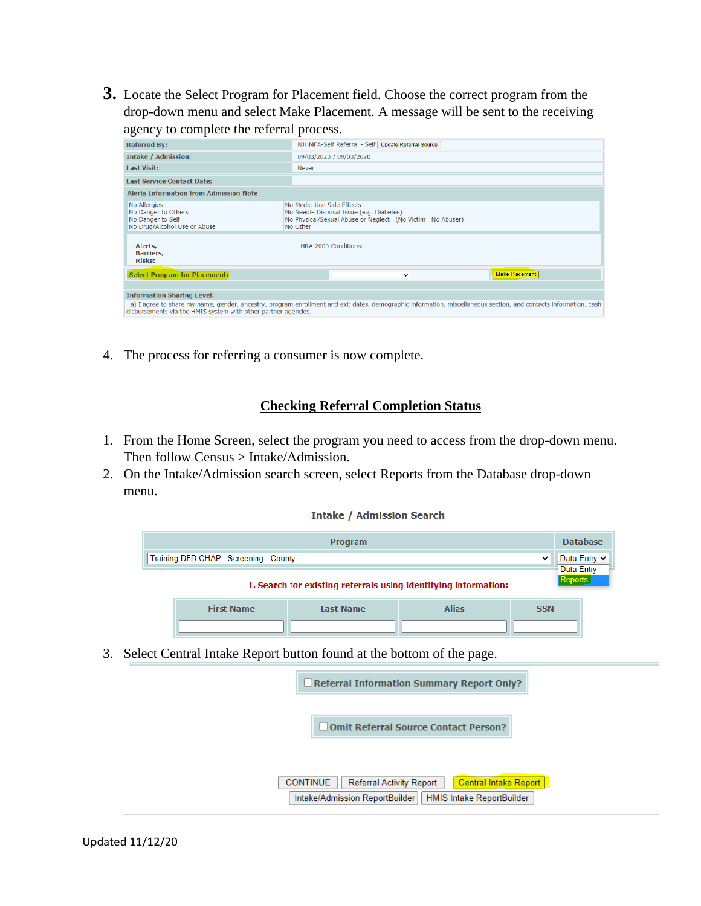**3.** Locate the Select Program for Placement field. Choose the correct program from the drop-down menu and select Make Placement. A message will be sent to the receiving agency to complete the referral process.

| <b>Referred By:</b>                                                                      | NJHMFA-Self Referral - Self   Update Referral Source                                                                                                             |
|------------------------------------------------------------------------------------------|------------------------------------------------------------------------------------------------------------------------------------------------------------------|
| <b>Intake / Admission:</b>                                                               | 09/03/2020 / 09/03/2020                                                                                                                                          |
| <b>Last Visit:</b>                                                                       | <b>Never</b>                                                                                                                                                     |
| Last Service Contact Date:                                                               |                                                                                                                                                                  |
| <b>Alerts Information from Admission Note</b>                                            |                                                                                                                                                                  |
| No Allergies<br>No Danger to Others<br>No Danger to Self<br>No Drug/Alcohol Use or Abuse | No Medication Side Effects<br>No Needle Disposal Issue (e.g. Diabetes)<br>No Physical/Sexual Abuse or Neglect (No Victim No Abuser)<br>No Other                  |
| Alerts,<br>Barriers,<br><b>Risks:</b>                                                    | HRA 2000 Conditions:                                                                                                                                             |
| <b>Select Program for Placement:</b>                                                     | <b>Make Placement</b><br>v                                                                                                                                       |
|                                                                                          |                                                                                                                                                                  |
| <b>Information Sharing Level:</b>                                                        |                                                                                                                                                                  |
| disbursements via the HMIS system with other partner agencies.                           | a) I agree to share my name, gender, ancestry, program enrollment and exit dates, demographic information, miscellaneous section, and contacts information, cash |

4. The process for referring a consumer is now complete.

#### **Checking Referral Completion Status**

- 1. From the Home Screen, select the program you need to access from the drop-down menu. Then follow Census > Intake/Admission.
- 2. On the Intake/Admission search screen, select Reports from the Database drop-down menu.

#### **Intake / Admission Search**

| <b>Program</b>                                        |                                                                 |           |              |            |  |  |  |  |  |
|-------------------------------------------------------|-----------------------------------------------------------------|-----------|--------------|------------|--|--|--|--|--|
| Training DFD CHAP - Screening - County<br>$\check{ }$ |                                                                 |           |              |            |  |  |  |  |  |
|                                                       | 1. Search for existing referrals using identifying information: |           |              |            |  |  |  |  |  |
|                                                       | <b>First Name</b>                                               | Last Name | <b>Alias</b> | <b>SSN</b> |  |  |  |  |  |
|                                                       |                                                                 |           |              |            |  |  |  |  |  |

3. Select Central Intake Report button found at the bottom of the page.

| <b>OReferral Information Summary Report Only?</b>                                                                                                 |
|---------------------------------------------------------------------------------------------------------------------------------------------------|
| Omit Referral Source Contact Person?                                                                                                              |
|                                                                                                                                                   |
| Central Intake Report<br><b>CONTINUE</b><br><b>Referral Activity Report</b><br><b>HMIS Intake ReportBuilder</b><br>Intake/Admission ReportBuilder |